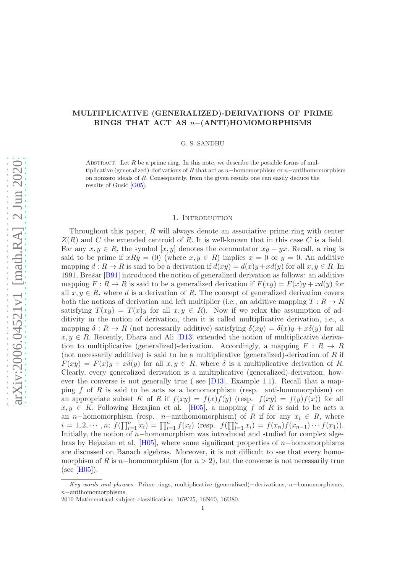# MULTIPLICATIVE (GENERALIZED)-DERIVATIONS OF PRIME RINGS THAT ACT AS n−(ANTI)HOMOMORPHISMS

G. S. SANDHU

ABSTRACT. Let  $R$  be a prime ring. In this note, we describe the possible forms of multiplicative (generalized)-derivations of R that act as  $n-$ homomorphism or  $n-$ antihomomorphism on nonzero ideals of R. Consequently, from the given results one can easily deduce the results of Gusić [\[G05\]](#page-8-0).

## 1. INTRODUCTION

Throughout this paper, R will always denote an associative prime ring with center  $Z(R)$  and C the extended centroid of R. It is well-known that in this case C is a field. For any  $x, y \in R$ , the symbol  $[x, y]$  denotes the commutator  $xy - yx$ . Recall, a ring is said to be prime if  $xRy = (0)$  (where  $x, y \in R$ ) implies  $x = 0$  or  $y = 0$ . An additive mapping  $d: R \to R$  is said to be a derivation if  $d(xy) = d(x)y + xd(y)$  for all  $x, y \in R$ . In 1991, Brešar [\[B91\]](#page-8-1) introduced the notion of generalized derivation as follows: an additive mapping  $F: R \to R$  is said to be a generalized derivation if  $F(xy) = F(x)y + xd(y)$  for all  $x, y \in R$ , where d is a derivation of R. The concept of generalized derivation covers both the notions of derivation and left multiplier (i.e., an additive mapping  $T: R \to R$ satisfying  $T(xy) = T(x)y$  for all  $x, y \in R$ ). Now if we relax the assumption of additivity in the notion of derivation, then it is called multiplicative derivation, i.e., a mapping  $\delta: R \to R$  (not necessarily additive) satisfying  $\delta(xy) = \delta(x)y + x\delta(y)$  for all  $x, y \in R$ . Recently, Dhara and Ali [\[D13\]](#page-8-2) extended the notion of multiplicative derivation to multiplicative (generalized)-derivation. Accordingly, a mapping  $F: R \to R$ (not necessarily additive) is said to be a multiplicative (generalized)-derivation of  $R$  if  $F(xy) = F(x)y + x\delta(y)$  for all  $x, y \in R$ , where  $\delta$  is a multiplicative derivation of R. Clearly, every generalized derivation is a multiplicative (generalized)-derivation, however the converse is not generally true ( see [\[D13\]](#page-8-2), Example 1.1). Recall that a mapping f of R is said to be acts as a homomorphism (resp. anti-homomorphism) on an appropriate subset K of R if  $f(xy) = f(x)f(y)$  (resp.  $f(xy) = f(y)f(x)$ ) for all  $x, y \in K$ . Following Hezajian et al. [\[H05\]](#page-8-3), a mapping f of R is said to be acts a an n–homomorphism (resp. n–antihomomorphism) of R if for any  $x_i \in R$ , where  $i = 1, 2, \cdots, n;$   $f(\prod_{i=1}^{n} x_i) = \prod_{i=1}^{n} f(x_i)$  (resp.  $f(\prod_{i=1}^{n} x_i) = f(x_n)f(x_{n-1})\cdots f(x_1)$ ). Initially, the notion of n−homomorphism was introduced and studied for complex alge-bras by Hejazian et al. [\[H05\]](#page-8-3), where some significant properties of  $n-$ homomorphisms are discussed on Banach algebras. Moreover, it is not difficult to see that every homomorphism of R is n–homomorphism (for  $n > 2$ ), but the converse is not necessarily true  $(see [H05]).$  $(see [H05]).$  $(see [H05]).$ 

Key words and phrases. Prime rings, multiplicative (generalized)–derivations, n–homomorphisms, n−antihomomorphisms.

<sup>2010</sup> Mathematical subject classification: 16W25, 16N60, 16U80.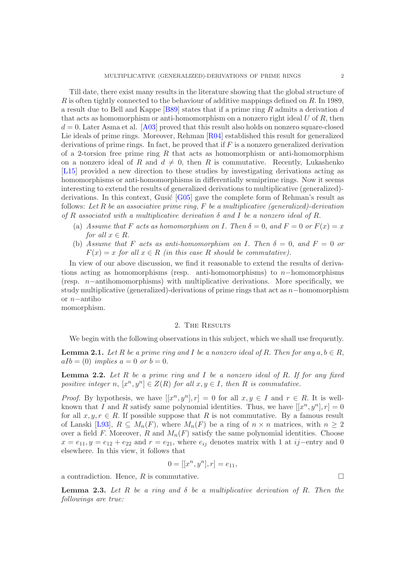Till date, there exist many results in the literature showing that the global structure of R is often tightly connected to the behaviour of additive mappings defined on R. In 1989, a result due to Bell and Kappe [\[B89\]](#page-7-0) states that if a prime ring  $R$  admits a derivation  $d$ that acts as homomorphism or anti-homomorphism on a nonzero right ideal  $U$  of  $R$ , then  $d = 0$ . Later Asma et al. [\[A03\]](#page-7-1) proved that this result also holds on nonzero square-closed Lie ideals of prime rings. Moreover, Rehman [\[R04\]](#page-8-4) established this result for generalized derivations of prime rings. In fact, he proved that if  $F$  is a nonzero generalized derivation of a 2-torsion free prime ring  $R$  that acts as homomorphism or anti-homomorphism on a nonzero ideal of R and  $d \neq 0$ , then R is commutative. Recently, Lukashenko [\[L15\]](#page-8-5) provided a new direction to these studies by investigating derivations acting as homomorphisms or anti-homomorphisms in differentially semiprime rings. Now it seems interesting to extend the results of generalized derivations to multiplicative (generalized) derivations. In this context, Gusić  $[G05]$  gave the complete form of Rehman's result as follows: *Let* R *be an associative prime ring,* F *be a multiplicative (generalized)-derivation of* R *associated with a multiplicative derivation* δ *and* I *be a nonzero ideal of* R.

- (a) *Assume that* F *acts as homomorphism on* I. Then  $\delta = 0$ , and  $F = 0$  or  $F(x) = x$ *for all*  $x \in R$ *.*
- (b) Assume that F acts as anti-homomorphism on I. Then  $\delta = 0$ , and  $F = 0$  or  $F(x) = x$  for all  $x \in R$  *(in this case* R *should be commutative).*

In view of our above discussion, we find it reasonable to extend the results of derivations acting as homomorphisms (resp. anti-homomorphisms) to n–homomorphisms (resp. n−antihomomorphisms) with multiplicative derivations. More specifically, we study multiplicative (generalized)-derivations of prime rings that act as n−homomorphism or n−antiho

momorphism.

# 2. THE RESULTS

We begin with the following observations in this subject, which we shall use frequently.

<span id="page-1-0"></span>**Lemma 2.1.** Let R be a prime ring and I be a nonzero ideal of R. Then for any  $a, b \in R$ ,  $aIb = (0)$  *implies*  $a = 0$  *or*  $b = 0$ .

<span id="page-1-2"></span>Lemma 2.2. *Let* R *be a prime ring and* I *be a nonzero ideal of* R. *If for any fixed positive integer*  $n, [x^n, y^n] \in Z(R)$  *for all*  $x, y \in I$ *, then*  $R$  *is commutative.* 

*Proof.* By hypothesis, we have  $[[x^n, y^n], r] = 0$  for all  $x, y \in I$  and  $r \in R$ . It is wellknown that I and R satisfy same polynomial identities. Thus, we have  $[[x^n, y^n], r] = 0$ for all  $x, y, r \in R$ . If possible suppose that R is not commutative. By a famous result of Lanski [\[L93\]](#page-8-6),  $R \subseteq M_n(F)$ , where  $M_n(F)$  be a ring of  $n \times n$  matrices, with  $n \geq 2$ over a field F. Moreover, R and  $M_n(F)$  satisfy the same polynomial identities. Choose  $x = e_{11}, y = e_{12} + e_{22}$  and  $r = e_{21}$ , where  $e_{ij}$  denotes matrix with 1 at ij–entry and 0 elsewhere. In this view, it follows that

$$
0 = [[x^n, y^n], r] = e_{11},
$$

a contradiction. Hence,  $R$  is commutative.

<span id="page-1-1"></span>Lemma 2.3. *Let* R *be a ring and* δ *be a multiplicative derivation of* R. *Then the followings are true:*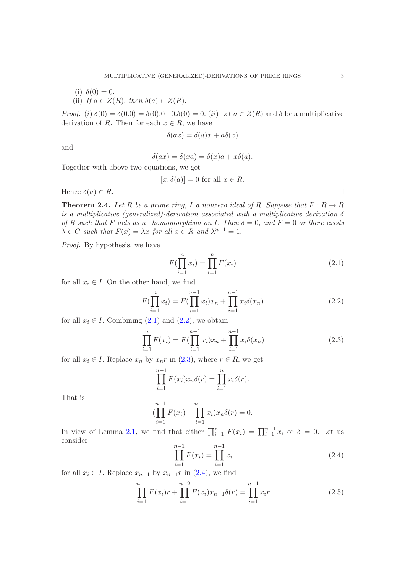(i)  $\delta(0) = 0$ . (ii) *If*  $a \in Z(R)$ , *then*  $\delta(a) \in Z(R)$ .

*Proof.* (i)  $\delta(0) = \delta(0.0) = \delta(0.0+0. \delta(0)) = 0$ . (ii) Let  $a \in Z(R)$  and  $\delta$  be a multiplicative derivation of R. Then for each  $x \in R$ , we have

$$
\delta(ax) = \delta(a)x + a\delta(x)
$$

and

$$
\delta(ax) = \delta(xa) = \delta(x)a + x\delta(a).
$$

Together with above two equations, we get

$$
[x, \delta(a)] = 0 \text{ for all } x \in R.
$$

Hence  $\delta(a) \in R$ .

<span id="page-2-5"></span>**Theorem 2.4.** Let R be a prime ring, I a nonzero ideal of R. Suppose that  $F: R \to R$ *is a multiplicative (generalized)-derivation associated with a multiplicative derivation* δ  $of$  R *such that* F *acts* as  $n-homomorphism$  on I. Then  $δ = 0$ , and  $F = 0$  or there exists  $\lambda \in C$  such that  $F(x) = \lambda x$  for all  $x \in R$  and  $\lambda^{n-1} = 1$ .

*Proof.* By hypothesis, we have

<span id="page-2-0"></span>
$$
F(\prod_{i=1}^{n} x_i) = \prod_{i=1}^{n} F(x_i)
$$
\n(2.1)

for all  $x_i \in I$ . On the other hand, we find

<span id="page-2-1"></span>
$$
F(\prod_{i=1}^{n} x_i) = F(\prod_{i=1}^{n-1} x_i) x_n + \prod_{i=1}^{n-1} x_i \delta(x_n)
$$
\n(2.2)

for all  $x_i \in I$ . Combining  $(2.1)$  and  $(2.2)$ , we obtain

<span id="page-2-2"></span>
$$
\prod_{i=1}^{n} F(x_i) = F(\prod_{i=1}^{n-1} x_i) x_n + \prod_{i=1}^{n-1} x_i \delta(x_n)
$$
\n(2.3)

for all  $x_i \in I$ . Replace  $x_n$  by  $x_n r$  in  $(2.3)$ , where  $r \in R$ , we get

$$
\prod_{i=1}^{n-1} F(x_i)x_n\delta(r) = \prod_{i=1}^n x_i\delta(r).
$$

That is

$$
(\prod_{i=1}^{n-1} F(x_i) - \prod_{i=1}^{n-1} x_i) x_n \delta(r) = 0.
$$

In view of Lemma [2.1,](#page-1-0) we find that either  $\prod_{i=1}^{n-1} F(x_i) = \prod_{i=1}^{n-1} x_i$  or  $\delta = 0$ . Let us consider

<span id="page-2-3"></span>
$$
\prod_{i=1}^{n-1} F(x_i) = \prod_{i=1}^{n-1} x_i
$$
\n(2.4)

for all  $x_i \in I$ . Replace  $x_{n-1}$  by  $x_{n-1}r$  in [\(2.4\)](#page-2-3), we find

<span id="page-2-4"></span>
$$
\prod_{i=1}^{n-1} F(x_i)r + \prod_{i=1}^{n-2} F(x_i)x_{n-1}\delta(r) = \prod_{i=1}^{n-1} x_i r
$$
\n(2.5)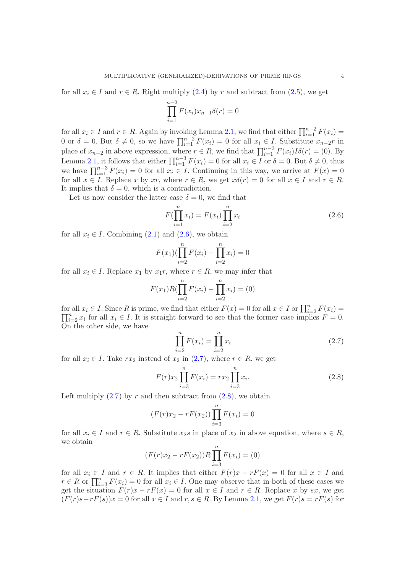for all  $x_i \in I$  and  $r \in R$ . Right multiply [\(2.4\)](#page-2-3) by r and subtract from [\(2.5\)](#page-2-4), we get

$$
\prod_{i=1}^{n-2} F(x_i)x_{n-1}\delta(r) = 0
$$

for all  $x_i \in I$  and  $r \in R$ . Again by invoking Lemma [2.1,](#page-1-0) we find that either  $\prod_{i=1}^{n-2} F(x_i) =$ 0 or  $\delta = 0$ . But  $\delta \neq 0$ , so we have  $\prod_{i=1}^{n-2} F(x_i) = 0$  for all  $x_i \in I$ . Substitute  $x_{n-2}$ r in place of  $x_{n-2}$  in above expression, where  $r \in R$ , we find that  $\prod_{i=1}^{n-3} F(x_i)I\delta(r) = (0)$ . By Lemma [2.1,](#page-1-0) it follows that either  $\prod_{i=1}^{n-3} F(x_i) = 0$  for all  $x_i \in I$  or  $\delta = 0$ . But  $\delta \neq 0$ , thus we have  $\prod_{i=1}^{n-3} F(x_i) = 0$  for all  $x_i \in I$ . Continuing in this way, we arrive at  $F(x) = 0$ for all  $x \in I$ . Replace x by xr, where  $r \in R$ , we get  $x\delta(r) = 0$  for all  $x \in I$  and  $r \in R$ . It implies that  $\delta = 0$ , which is a contradiction.

Let us now consider the latter case  $\delta = 0$ , we find that

<span id="page-3-0"></span>
$$
F(\prod_{i=1}^{n} x_i) = F(x_i) \prod_{i=2}^{n} x_i
$$
\n(2.6)

for all  $x_i \in I$ . Combining  $(2.1)$  and  $(2.6)$ , we obtain

$$
F(x_1)(\prod_{i=2}^{n} F(x_i) - \prod_{i=2}^{n} x_i) = 0
$$

for all  $x_i \in I$ . Replace  $x_1$  by  $x_1r$ , where  $r \in R$ , we may infer that

$$
F(x_1)R(\prod_{i=2}^n F(x_i) - \prod_{i=2}^n x_i) = (0)
$$

for all  $x_i \in I$ . Since R is prime, we find that either  $F(x) = 0$  for all  $x \in I$  or  $\prod_{i=2}^{n} F(x_i) =$  $\prod_{i=2}^n x_i$  for all  $x_i \in I$ . It is straight forward to see that the former case implies  $F = 0$ . On the other side, we have

<span id="page-3-1"></span>
$$
\prod_{i=2}^{n} F(x_i) = \prod_{i=2}^{n} x_i
$$
\n(2.7)

for all  $x_i \in I$ . Take  $rx_2$  instead of  $x_2$  in  $(2.7)$ , where  $r \in R$ , we get

<span id="page-3-2"></span>
$$
F(r)x_2 \prod_{i=3}^{n} F(x_i) = rx_2 \prod_{i=3}^{n} x_i.
$$
 (2.8)

Left multiply  $(2.7)$  by r and then subtract from  $(2.8)$ , we obtain

$$
(F(r)x_2 - rF(x_2)) \prod_{i=3}^{n} F(x_i) = 0
$$

for all  $x_i \in I$  and  $r \in R$ . Substitute  $x_2s$  in place of  $x_2$  in above equation, where  $s \in R$ , we obtain

$$
(F(r)x_2 - rF(x_2))R\prod_{i=3}^{n}F(x_i) = (0)
$$

for all  $x_i \in I$  and  $r \in R$ . It implies that either  $F(r)x - rF(x) = 0$  for all  $x \in I$  and  $r \in R$  or  $\prod_{i=3}^{n} F(x_i) = 0$  for all  $x_i \in I$ . One may observe that in both of these cases we get the situation  $F(r)x - rF(x) = 0$  for all  $x \in I$  and  $r \in R$ . Replace x by sx, we get  $(F(r)s-rF(s))x=0$  for all  $x\in I$  and  $r,s\in R$ . By Lemma [2.1,](#page-1-0) we get  $F(r)s=rF(s)$  for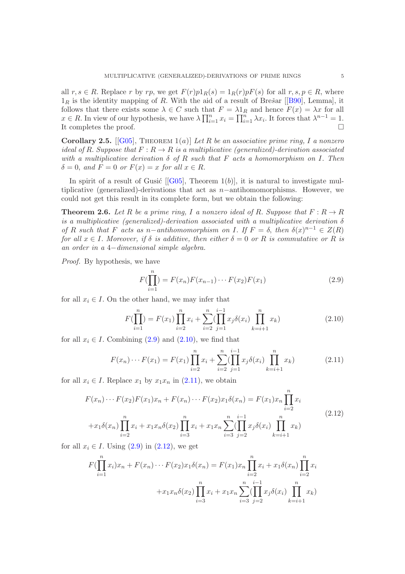all  $r, s \in R$ . Replace r by rp, we get  $F(r)p1_R(s) = 1_R(r)pF(s)$  for all  $r, s, p \in R$ , where  $1_R$ is the identity mapping of R. With the aid of a result of Brešar [[\[B90\]](#page-7-2), Lemma], it follows that there exists some  $\lambda \in C$  such that  $F = \lambda 1_R$  and hence  $F(x) = \lambda x$  for all  $x \in R$ . In view of our hypothesis, we have  $\lambda \prod_{i=1}^n x_i = \prod_{i=1}^n \lambda x_i$ . It forces that  $\lambda^{n-1} = 1$ . It completes the proof.

Corollary 2.5. [[\[G05\]](#page-8-0), Theorem 1(a)] *Let* R *be an associative prime ring,* I *a nonzero ideal of* R. Suppose that  $F: R \to R$  *is a multiplicative (generalized)-derivation associated with a multiplicative derivation* δ *of* R *such that* F *acts a homomorphism on* I. *Then*  $\delta = 0$ , and  $F = 0$  or  $F(x) = x$  for all  $x \in R$ .

Inspirit of a result of Gusic  $\lceil \text{G05} \rceil$ , Theorem  $1(b)$ , it is natural to investigate multiplicative (generalized)-derivations that act as n−antihomomorphisms. However, we could not get this result in its complete form, but we obtain the following:

**Theorem 2.6.** Let R be a prime ring, I a nonzero ideal of R. Suppose that  $F: R \to R$ *is a multiplicative (generalized)-derivation associated with a multiplicative derivation* δ *of* R such that F acts as n-*antihomomorphism on* I. If  $F = \delta$ , then  $\delta(x)^{n-1} \in Z(R)$ *for all*  $x \in I$ *. Moreover, if*  $\delta$  *is additive, then either*  $\delta = 0$  *or* R *is commutative or* R *is an order in a* 4−*dimensional simple algebra.*

*Proof.* By hypothesis, we have

<span id="page-4-0"></span>
$$
F(\prod_{i=1}^{n}) = F(x_n)F(x_{n-1})\cdots F(x_2)F(x_1)
$$
\n(2.9)

for all  $x_i \in I$ . On the other hand, we may infer that

<span id="page-4-1"></span>
$$
F(\prod_{i=1}^{n}) = F(x_1) \prod_{i=2}^{n} x_i + \sum_{i=2}^{n} (\prod_{j=1}^{i-1} x_j \delta(x_i) \prod_{k=i+1}^{n} x_k)
$$
(2.10)

for all  $x_i \in I$ . Combining  $(2.9)$  and  $(2.10)$ , we find that

<span id="page-4-2"></span>
$$
F(x_n)\cdots F(x_1) = F(x_1) \prod_{i=2}^n x_i + \sum_{i=2}^n (\prod_{j=1}^{i-1} x_j \delta(x_i) \prod_{k=i+1}^n x_k)
$$
 (2.11)

for all  $x_i \in I$ . Replace  $x_1$  by  $x_1x_n$  in  $(2.11)$ , we obtain

<span id="page-4-3"></span>
$$
F(x_n)\cdots F(x_2)F(x_1)x_n + F(x_n)\cdots F(x_2)x_1\delta(x_n) = F(x_1)x_n \prod_{i=2}^n x_i
$$
  
+
$$
x_1\delta(x_n) \prod_{i=2}^n x_i + x_1x_n\delta(x_2) \prod_{i=3}^n x_i + x_1x_n \sum_{i=3}^n (\prod_{j=2}^{i-1} x_j\delta(x_i) \prod_{k=i+1}^n x_k)
$$
 (2.12)

for all  $x_i \in I$ . Using  $(2.9)$  in  $(2.12)$ , we get

$$
F(\prod_{i=1}^{n} x_i)x_n + F(x_n) \cdots F(x_2)x_1 \delta(x_n) = F(x_1)x_n \prod_{i=2}^{n} x_i + x_1 \delta(x_n) \prod_{i=2}^{n} x_i
$$

$$
+ x_1 x_n \delta(x_2) \prod_{i=3}^{n} x_i + x_1 x_n \sum_{i=3}^{n} (\prod_{j=2}^{i-1} x_j \delta(x_i) \prod_{k=i+1}^{n} x_k)
$$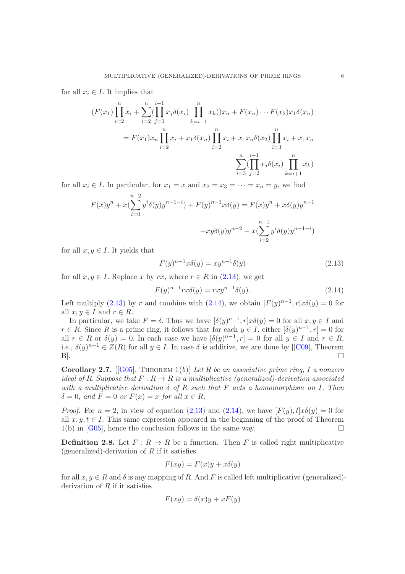for all  $x_i \in I$ . It implies that

$$
(F(x_1)\prod_{i=2}^n x_i + \sum_{i=2}^n (\prod_{j=1}^{n-1} x_j \delta(x_i) \prod_{k=i+1}^n x_k))x_n + F(x_n) \cdots F(x_2)x_1 \delta(x_n)
$$
  
=  $F(x_1)x_n \prod_{i=2}^n x_i + x_1 \delta(x_n) \prod_{i=2}^n x_i + x_1 x_n \delta(x_2) \prod_{i=3}^n x_i + x_1 x_n$   

$$
\sum_{i=3}^n (\prod_{j=2}^{i-1} x_j \delta(x_i) \prod_{k=i+1}^n x_k)
$$

for all  $x_i \in I$ . In particular, for  $x_1 = x$  and  $x_2 = x_3 = \cdots = x_n = y$ , we find

$$
F(x)y^{n} + x\left(\sum_{i=0}^{n-2} y^{i} \delta(y)y^{n-1-i}\right) + F(y)^{n-1}x\delta(y) = F(x)y^{n} + x\delta(y)y^{n-1} + xy\delta(y)y^{n-2} + x\left(\sum_{i=2}^{n-1} y^{i} \delta(y)y^{n-1-i}\right)
$$

for all  $x, y \in I$ . It yields that

<span id="page-5-0"></span>
$$
F(y)^{n-1}x\delta(y) = xy^{n-1}\delta(y)
$$
\n(2.13)

for all  $x, y \in I$ . Replace x by rx, where  $r \in R$  in  $(2.13)$ , we get

<span id="page-5-1"></span>
$$
F(y)^{n-1}rx\delta(y) = rxy^{n-1}\delta(y).
$$
\n(2.14)

Left multiply [\(2.13\)](#page-5-0) by r and combine with [\(2.14\)](#page-5-1), we obtain  $[F(y)^{n-1}, r]x\delta(y) = 0$  for all  $x, y \in I$  and  $r \in R$ .

In particular, we take  $F = \delta$ . Thus we have  $[\delta(y)^{n-1}, r]x\delta(y) = 0$  for all  $x, y \in I$  and  $r \in R$ . Since R is a prime ring, it follows that for each  $y \in I$ , either  $[\delta(y)^{n-1}, r] = 0$  for all  $r \in R$  or  $\delta(y) = 0$ . In each case we have  $[\delta(y)^{n-1}, r] = 0$  for all  $y \in I$  and  $r \in R$ , i.e., $\delta(y)^{n-1} \in Z(R)$  for all  $y \in I$ . In case  $\delta$  is additive, we are done by [[\[C09\]](#page-8-7), Theorem B].

Corollary 2.7. [[\[G05\]](#page-8-0), Theorem 1(b)] *Let* R *be an associative prime ring,* I *a nonzero ideal of* R. Suppose that  $F: R \to R$  is a multiplicative (generalized)-derivation associated *with a multiplicative derivation* δ *of* R *such that* F *acts a homomorphism on* I. *Then*  $\delta = 0$ , and  $F = 0$  or  $F(x) = x$  for all  $x \in R$ .

*Proof.* For  $n = 2$ , in view of equation [\(2.13\)](#page-5-0) and [\(2.14\)](#page-5-1), we have  $[F(y), t]x\delta(y) = 0$  for all  $x, y, t \in I$ . This same expression appeared in the beginning of the proof of Theorem  $1(b)$  in [\[G05\]](#page-8-0), hence the conclusion follows in the same way.  $\Box$ 

**Definition 2.8.** Let  $F: R \to R$  be a function. Then F is called right multiplicative (generalized)-derivation of  $R$  if it satisfies

$$
F(xy) = F(x)y + x\delta(y)
$$

for all  $x, y \in R$  and  $\delta$  is any mapping of R. And F is called left multiplicative (generalized)derivation of  $R$  if it satisfies

$$
F(xy) = \delta(x)y + xF(y)
$$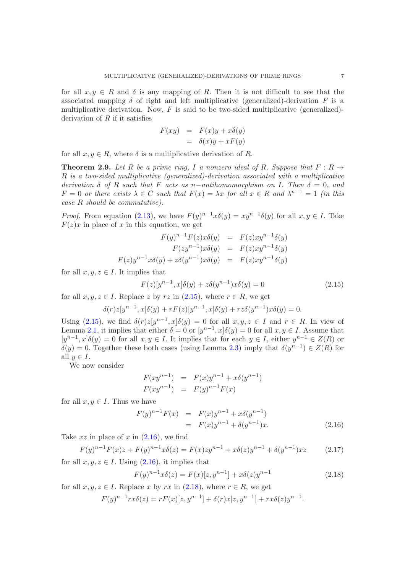for all  $x, y \in R$  and  $\delta$  is any mapping of R. Then it is not difficult to see that the associated mapping  $\delta$  of right and left multiplicative (generalized)-derivation F is a multiplicative derivation. Now,  $F$  is said to be two-sided multiplicative (generalized)derivation of  $R$  if it satisfies

$$
F(xy) = F(x)y + x\delta(y)
$$
  
=  $\delta(x)y + xF(y)$ 

for all  $x, y \in R$ , where  $\delta$  is a multiplicative derivation of R.

**Theorem 2.9.** Let R be a prime ring, I a nonzero ideal of R. Suppose that  $F: R \rightarrow$ R *is a two-sided multiplicative (generalized)-derivation associated with a multiplicative derivation*  $\delta$  *of* R *such that* F *acts* as n-*antihomomorphism* on I. Then  $\delta = 0$ , and  $F = 0$  or there exists  $\lambda \in C$  such that  $F(x) = \lambda x$  for all  $x \in R$  and  $\lambda^{n-1} = 1$  *(in this case* R *should be commutative).*

*Proof.* From equation [\(2.13\)](#page-5-0), we have  $F(y)^{n-1}x\delta(y) = xy^{n-1}\delta(y)$  for all  $x, y \in I$ . Take  $F(z)x$  in place of x in this equation, we get

$$
F(y)^{n-1}F(z)x\delta(y) = F(z)xy^{n-1}\delta(y)
$$

$$
F(zy^{n-1})x\delta(y) = F(z)xy^{n-1}\delta(y)
$$

$$
F(z)y^{n-1}x\delta(y) + z\delta(y^{n-1})x\delta(y) = F(z)xy^{n-1}\delta(y)
$$

for all  $x, y, z \in I$ . It implies that

<span id="page-6-0"></span>
$$
F(z)[y^{n-1}, x]\delta(y) + z\delta(y^{n-1})x\delta(y) = 0
$$
\n(2.15)

for all  $x, y, z \in I$ . Replace z by rz in  $(2.15)$ , where  $r \in R$ , we get

$$
\delta(r)z[y^{n-1},x]\delta(y) + rF(z)[y^{n-1},x]\delta(y) + rz\delta(y^{n-1})x\delta(y) = 0.
$$

Using [\(2.15\)](#page-6-0), we find  $\delta(r)z[y^{n-1},x]\delta(y) = 0$  for all  $x, y, z \in I$  and  $r \in R$ . In view of Lemma [2.1,](#page-1-0) it implies that either  $\delta = 0$  or  $[y^{n-1}, x]\delta(y) = 0$  for all  $x, y \in I$ . Assume that  $[y^{n-1},x]\delta(y) = 0$  for all  $x, y \in I$ . It implies that for each  $y \in I$ , either  $y^{n-1} \in Z(R)$  or  $\delta(y) = 0$ . Together these both cases (using Lemma [2.3\)](#page-1-1) imply that  $\delta(y^{n-1}) \in Z(R)$  for all  $y \in I$ .

We now consider

$$
F(xy^{n-1}) = F(x)y^{n-1} + x\delta(y^{n-1})
$$
  

$$
F(xy^{n-1}) = F(y)^{n-1}F(x)
$$

for all  $x, y \in I$ . Thus we have

<span id="page-6-1"></span>
$$
F(y)^{n-1}F(x) = F(x)y^{n-1} + x\delta(y^{n-1})
$$
  
=  $F(x)y^{n-1} + \delta(y^{n-1})x$ . (2.16)

Take  $xz$  in place of x in  $(2.16)$ , we find

$$
F(y)^{n-1}F(x)z + F(y)^{n-1}x\delta(z) = F(x)zy^{n-1} + x\delta(z)y^{n-1} + \delta(y^{n-1})xz \qquad (2.17)
$$

for all  $x, y, z \in I$ . Using  $(2.16)$ , it implies that

<span id="page-6-2"></span>
$$
F(y)^{n-1}x\delta(z) = F(x)[z, y^{n-1}] + x\delta(z)y^{n-1}
$$
\n(2.18)

for all  $x, y, z \in I$ . Replace x by rx in  $(2.18)$ , where  $r \in R$ , we get

$$
F(y)^{n-1}rx\delta(z) = rF(x)[z, y^{n-1}] + \delta(r)x[z, y^{n-1}] + rx\delta(z)y^{n-1}.
$$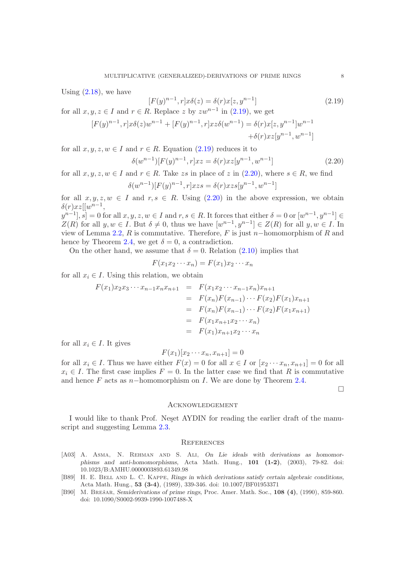Using  $(2.18)$ , we have

<span id="page-7-3"></span>
$$
[F(y)^{n-1}, r]x\delta(z) = \delta(r)x[z, y^{n-1}]
$$
\n(2.19)

for all  $x, y, z \in I$  and  $r \in R$ . Replace z by  $zw^{n-1}$  in [\(2.19\)](#page-7-3), we get

$$
[F(y)^{n-1}, r]x\delta(z)w^{n-1} + [F(y)^{n-1}, r]xz\delta(w^{n-1}) = \delta(r)x[z, y^{n-1}]w^{n-1} + \delta(r)xz[y^{n-1}, w^{n-1}]
$$

for all  $x, y, z, w \in I$  and  $r \in R$ . Equation [\(2.19\)](#page-7-3) reduces it to

<span id="page-7-4"></span>
$$
\delta(w^{n-1})[F(y)^{n-1}, r]xz = \delta(r)xz[y^{n-1}, w^{n-1}]
$$
\n(2.20)

for all  $x, y, z, w \in I$  and  $r \in R$ . Take zs in place of z in  $(2.20)$ , where  $s \in R$ , we find

$$
\delta(w^{n-1})[F(y)^{n-1}, r]xzs = \delta(r)xzs[y^{n-1}, w^{n-1}]
$$

for all  $x, y, z, w \in I$  and  $r, s \in R$ . Using  $(2.20)$  in the above expression, we obtain  $\delta(r)xz[[w^{n-1},$ 

 $[y^{n-1}], \vec{s}]=0$  for all  $x, y, z, w \in I$  and  $r, s \in R$ . It forces that either  $\delta=0$  or  $[w^{n-1}, y^{n-1}] \in$  $Z(R)$  for all  $y, w \in I$ . But  $\delta \neq 0$ , thus we have  $[w^{n-1}, y^{n-1}] \in Z(R)$  for all  $y, w \in I$ . In view of Lemma [2.2,](#page-1-2) R is commutative. Therefore, F is just n–homomorphism of R and hence by Theorem [2.4,](#page-2-5) we get  $\delta = 0$ , a contradiction.

On the other hand, we assume that  $\delta = 0$ . Relation [\(2.10\)](#page-4-1) implies that

$$
F(x_1x_2\cdots x_n)=F(x_1)x_2\cdots x_n
$$

for all  $x_i \in I$ . Using this relation, we obtain

$$
F(x_1)x_2x_3\cdots x_{n-1}x_nx_{n+1} = F(x_1x_2\cdots x_{n-1}x_n)x_{n+1}
$$
  
\n
$$
= F(x_n)F(x_{n-1})\cdots F(x_2)F(x_1)x_{n+1}
$$
  
\n
$$
= F(x_n)F(x_{n-1})\cdots F(x_2)F(x_1x_{n+1})
$$
  
\n
$$
= F(x_1x_{n+1}x_2\cdots x_n)
$$
  
\n
$$
= F(x_1)x_{n+1}x_2\cdots x_n
$$

for all  $x_i \in I$ . It gives

$$
F(x_1)[x_2\cdots x_n,x_{n+1}]=0
$$

for all  $x_i \in I$ . Thus we have either  $F(x) = 0$  for all  $x \in I$  or  $[x_2 \cdots x_n, x_{n+1}] = 0$  for all  $x_i \in I$ . The first case implies  $F = 0$ . In the latter case we find that R is commutative and hence F acts as  $n-$ homomorphism on I. We are done by Theorem [2.4.](#page-2-5)

 $\Box$ 

#### Acknowledgement

I would like to thank Prof. Neset AYDIN for reading the earlier draft of the manuscript and suggesting Lemma [2.3.](#page-1-1)

## **REFERENCES**

- <span id="page-7-1"></span>[A03] A. ASMA, N. REHMAN AND S. ALI, On Lie ideals with derivations as homomorphisms and anti-homomorphisms, Acta Math. Hung., 101 (1-2), (2003), 79-82. doi: 10.1023/B:AMHU.0000003893.61349.98
- <span id="page-7-0"></span>[B89] H. E. BELL AND L. C. KAPPE, Rings in which derivations satisfy certain algebraic conditions, Acta Math. Hung., 53 (3-4), (1989), 339-346. doi: 10.1007/BF01953371
- <span id="page-7-2"></span>[B90] M. BREŠAR, Semiderivations of prime rings, Proc. Amer. Math. Soc., 108 (4), (1990), 859-860. doi: 10.1090/S0002-9939-1990-1007488-X